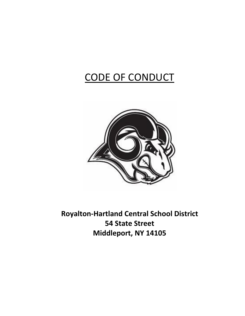# CODE OF CONDUCT



Royalton-Hartland Central School District 54 State Street Middleport, NY 14105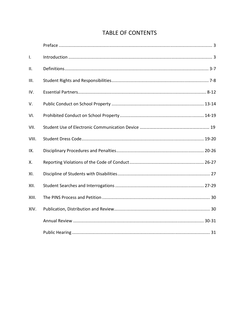| $\mathsf{L}$ |  |
|--------------|--|
| II.          |  |
| III.         |  |
| IV.          |  |
| V.           |  |
| VI.          |  |
| VII.         |  |
| VIII.        |  |
| IX.          |  |
| Χ.           |  |
| XI.          |  |
| XII.         |  |
| XIII.        |  |
| XIV.         |  |
|              |  |
|              |  |

## **TABLE OF CONTENTS**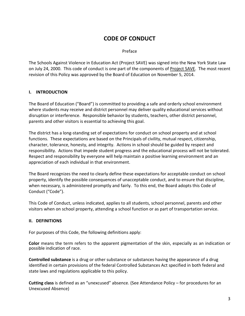## CODE OF CONDUCT

Preface

The Schools Against Violence in Education Act (Project SAVE) was signed into the New York State Law on July 24, 2000. This code of conduct is one part of the components of Project SAVE. The most recent revision of this Policy was approved by the Board of Education on November 5, 2014.

## I. INTRODUCTION

The Board of Education ("Board") is committed to providing a safe and orderly school environment where students may receive and district personnel may deliver quality educational services without disruption or interference. Responsible behavior by students, teachers, other district personnel, parents and other visitors is essential to achieving this goal.

The district has a long-standing set of expectations for conduct on school property and at school functions. These expectations are based on the Principals of civility, mutual respect, citizenship, character, tolerance, honesty, and integrity. Actions in school should be guided by respect and responsibility. Actions that impede student progress and the educational process will not be tolerated. Respect and responsibility by everyone will help maintain a positive learning environment and an appreciation of each individual in that environment.

The Board recognizes the need to clearly define these expectations for acceptable conduct on school property, identify the possible consequences of unacceptable conduct, and to ensure that discipline, when necessary, is administered promptly and fairly. To this end, the Board adopts this Code of Conduct ("Code").

This Code of Conduct, unless indicated, applies to all students, school personnel, parents and other visitors when on school property, attending a school function or as part of transportation service.

## II. DEFINITIONS

For purposes of this Code, the following definitions apply:

Color means the term refers to the apparent pigmentation of the skin, especially as an indication or possible indication of race.

Controlled substance is a drug or other substance or substances having the appearance of a drug identified in certain provisions of the federal Controlled Substances Act specified in both federal and state laws and regulations applicable to this policy.

Cutting class is defined as an "unexcused" absence. (See Attendance Policy – for procedures for an Unexcused Absence)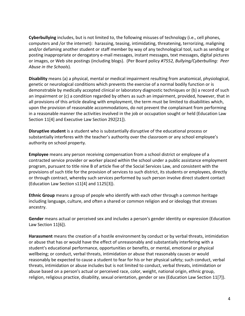Cyberbullying includes, but is not limited to, the following misuses of technology (i.e., cell phones, computers and /or the internet): harassing, teasing, intimidating, threatening, terrorizing, maligning and/or defaming another student or staff member by way of any technological tool, such as sending or posting inappropriate or derogatory e-mail messages, instant messages, text messages, digital pictures or images, or Web site postings (including blogs). (Per Board policy #7552, Bullying/Cyberbulling: Peer Abuse in the Schools).

Disability means (a) a physical, mental or medical impairment resulting from anatomical, physiological, genetic or neurological conditions which prevents the exercise of a normal bodily function or is demonstrable by medically accepted clinical or laboratory diagnostic techniques or (b) a record of such an impairment or (c) a condition regarded by others as such an impairment, provided, however, that in all provisions of this article dealing with employment, the term must be limited to disabilities which, upon the provision of reasonable accommodations, do not prevent the complainant from performing in a reasonable manner the activities involved in the job or occupation sought or held (Education Law Section 11[4] and Executive Law Section 292[21]).

Disruptive student is a student who is substantially disruptive of the educational process or substantially interferes with the teacher's authority over the classroom or any school employee's authority on school property.

Employee means any person receiving compensation from a school district or employee of a contracted service provider or worker placed within the school under a public assistance employment program, pursuant to title nine B of article five of the Social Services Law, and consistent with the provisions of such title for the provision of services to such district, its students or employees, directly or through contract, whereby such services performed by such person involve direct student contact (Education Law Section s11[4] and 1125[3]).

Ethnic Group means a group of people who identify with each other through a common heritage including language, culture, and often a shared or common religion and or ideology that stresses ancestry.

Gender means actual or perceived sex and includes a person's gender identity or expression (Education Law Section 11[6]).

Harassment means the creation of a hostile environment by conduct or by verbal threats, intimidation or abuse that has or would have the effect of unreasonably and substantially interfering with a student's educational performance, opportunities or benefits, or mental, emotional or physical wellbeing; or conduct, verbal threats, intimidation or abuse that reasonably causes or would reasonably be expected to cause a student to fear for his or her physical safety; such conduct, verbal threats, intimidation or abuse includes but is not limited to conduct, verbal threats, intimidation or abuse based on a person's actual or perceived race, color, weight, national origin, ethnic group, religion, religious practice, disability, sexual orientation, gender or sex (Education Law Section 11[7]).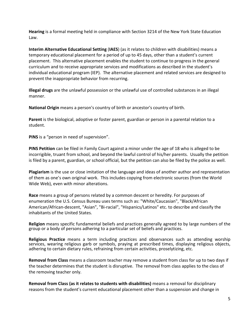Hearing is a formal meeting held in compliance with Section 3214 of the New York State Education Law.

Interim Alternative Educational Setting (IAES) (as it relates to children with disabilities) means a temporary educational placement for a period of up to 45 days, other than a student's current placement. This alternative placement enables the student to continue to progress in the general curriculum and to receive appropriate services and modifications as described in the student's individual educational program (IEP). The alternative placement and related services are designed to prevent the inappropriate behavior from recurring.

Illegal drugs are the unlawful possession or the unlawful use of controlled substances in an illegal manner.

National Origin means a person's country of birth or ancestor's country of birth.

Parent is the biological, adoptive or foster parent, guardian or person in a parental relation to a student.

PINS is a "person in need of supervision".

PINS Petition can be filed in Family Court against a minor under the age of 18 who is alleged to be incorrigible, truant from school, and beyond the lawful control of his/her parents. Usually the petition is filed by a parent, guardian, or school official, but the petition can also be filed by the police as well.

Plagiarism is the use or close imitation of the language and ideas of another author and representation of them as one's own original work. This includes copying from electronic sources (from the World Wide Web), even with minor alterations.

Race means a group of persons related by a common descent or heredity. For purposes of enumeration the U.S. Census Bureau uses terms such as: "White/Caucasian", "Black/African American/African-descent, "Asian", "Bi-racial", "Hispanics/Latinos" etc. to describe and classify the inhabitants of the United States.

Religion means specific fundamental beliefs and practices generally agreed to by large numbers of the group or a body of persons adhering to a particular set of beliefs and practices.

Religious Practice means a term including practices and observances such as attending worship services, wearing religious garb or symbols, praying at prescribed times, displaying religious objects, adhering to certain dietary rules, refraining from certain activities, proselytizing, etc.

Removal from Class means a classroom teacher may remove a student from class for up to two days if the teacher determines that the student is disruptive. The removal from class applies to the class of the removing teacher only.

Removal from Class (as it relates to students with disabilities) means a removal for disciplinary reasons from the student's current educational placement other than a suspension and change in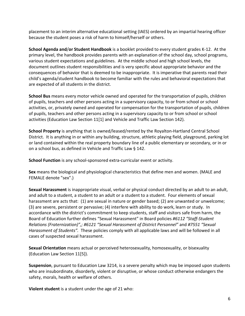placement to an interim alternative educational setting (IAES) ordered by an impartial hearing officer because the student poses a risk of harm to himself/herself or others.

School Agenda and/or Student Handbook is a booklet provided to every student grades K-12. At the primary level, the handbook provides parents with an explanation of the school day, school programs, various student expectations and guidelines. At the middle school and high school levels, the document outlines student responsibilities and is very specific about appropriate behavior and the consequences of behavior that is deemed to be inappropriate. It is imperative that parents read their child's agenda/student handbook to become familiar with the rules and behavioral expectations that are expected of all students in the district.

School Bus means every motor vehicle owned and operated for the transportation of pupils, children of pupils, teachers and other persons acting in a supervisory capacity, to or from school or school activities, or, privately owned and operated for compensation for the transportation of pupils, children of pupils, teachers and other persons acting in a supervisory capacity to or from school or school activities (Education Law Section 11[1] and Vehicle and Traffic Law Section 142).

School Property is anything that is owned/leased/rented by the Royalton-Hartland Central School District. It is anything in or within any building, structure, athletic playing field, playground, parking lot or land contained within the real property boundary line of a public elementary or secondary, or in or on a school bus, as defined in Vehicle and Traffic Law § 142.

School Function is any school-sponsored extra-curricular event or activity.

Sex means the biological and physiological characteristics that define men and women. (MALE and FEMALE denote "sex".)

Sexual Harassment is inappropriate visual, verbal or physical conduct directed by an adult to an adult, and adult to a student, a student to an adult or a student to a student. Four elements of sexual harassment are acts that: (1) are sexual in nature or gender based; (2) are unwanted or unwelcome; (3) are severe, persistent or pervasive; (4) interfere with ability to do work, learn or study. In accordance with the district's commitment to keep students, staff and visitors safe from harm, the Board of Education further defines "Sexual Harassment" in Board policies #6112 "Staff-Student Relations (Fraternization)",; #6121 "Sexual Harassment of District Personnel" and #7551 "Sexual Harassment of Students". These policies comply with all applicable laws and will be followed in all cases of suspected sexual harassment.

Sexual Orientation means actual or perceived heterosexuality, homosexuality, or bisexuality (Education Law Section 11[5]).

Suspension, pursuant to Education Law 3214, is a severe penalty which may be imposed upon students who are insubordinate, disorderly, violent or disruptive, or whose conduct otherwise endangers the safety, morals, health or welfare of others.

Violent student is a student under the age of 21 who: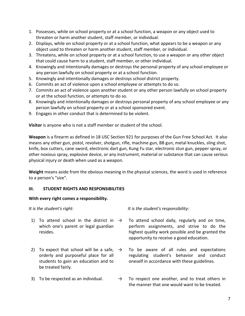- 1. Possesses, while on school property or at a school function, a weapon or any object used to threaten or harm another student, staff member, or individual.
- 2. Displays, while on school property or at a school function, what appears to be a weapon or any object used to threaten or harm another student, staff member, or individual.
- 3. Threatens, while on school property or at a school function, to use a weapon or any other object that could cause harm to a student, staff member, or other individual.
- 4. Knowingly and intentionally damages or destroys the personal property of any school employee or any person lawfully on school property or at a school function.
- 5. Knowingly and intentionally damages or destroys school district property.
- 6. Commits an act of violence upon a school employee or attempts to do so.
- 7. Commits an act of violence upon another student or any other person lawfully on school property or at the school function, or attempts to do so.
- 8. Knowingly and intentionally damages or destroys personal property of any school employee or any person lawfully on school property or at a school sponsored event.
- 9. Engages in other conduct that is determined to be violent.

Visitor is anyone who is not a staff member or student of the school.

Weapon is a firearm as defined in 18 USC Section 921 for purposes of the Gun Free School Act. It also means any other gun, pistol, revolver, shotgun, rifle, machine gun, BB gun, metal knuckles, sling shot, knife, box cutters, cane sword, electronic dart gun, Kung Fu star, electronic stun gun, pepper spray, or other noxious spray, explosive device, or any instrument, material or substance that can cause serious physical injury or death when used as a weapon.

Weight means aside from the obvious meaning in the physical sciences, the word is used in reference to a person's "size".

## III. STUDENT RIGHTS AND RESPONSIBILITIES

## With every right comes a responsibility.

- 1) To attend school in the district in  $\rightarrow$ which one's parent or legal guardian resides.
- 2) To expect that school will be a safe,  $\rightarrow$ orderly and purposeful place for all students to gain an education and to be treated fairly.
- 

It is the student's right:  $\frac{1}{1}$  is the student's responsibility:

- To attend school daily, regularly and on time, perform assignments, and strive to do the highest quality work possible and be granted the opportunity to receive a good education.
- To be aware of all rules and expectations regulating student's behavior and conduct oneself in accordance with these guidelines.
- 3) To be respected as an individual.  $\rightarrow$  To respect one another, and to treat others in the manner that one would want to be treated.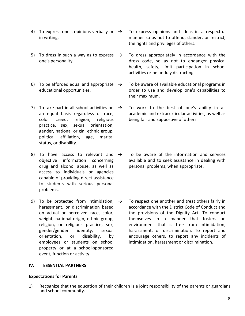- 4) To express one's opinions verbally or  $\rightarrow$ in writing.
- 5) To dress in such a way as to express  $\rightarrow$ one's personality.
- 6) To be afforded equal and appropriate  $\rightarrow$ educational opportunities.
- 7) To take part in all school activities on  $\rightarrow$ an equal basis regardless of race, color creed, religion, religious practice, sex, sexual orientation, gender, national origin, ethnic group, political affiliation, age, marital status, or disability.
- 8) To have access to relevant and  $\rightarrow$ objective information concerning drug and alcohol abuse, as well as access to individuals or agencies capable of providing direct assistance to students with serious personal problems.
- 9) To be protected from intimidation,  $\rightarrow$ harassment, or discrimination based on actual or perceived race, color, weight, national origin, ethnic group, religion, or religious practice, sex, gender/gender identity, sexual orientation, or disability, by employees or students on school property or at a school-sponsored event, function or activity.
- To express opinions and ideas in a respectful manner so as not to offend, slander, or restrict, the rights and privileges of others.
- To dress appropriately in accordance with the dress code, so as not to endanger physical health, safety, limit participation in school activities or be unduly distracting.
- To be aware of available educational programs in order to use and develop one's capabilities to their maximum.
- To work to the best of one's ability in all academic and extracurricular activities, as well as being fair and supportive of others.
- To be aware of the information and services available and to seek assistance in dealing with personal problems, when appropriate.
- To respect one another and treat others fairly in accordance with the District Code of Conduct and the provisions of the Dignity Act. To conduct themselves in a manner that fosters an environment that is free from intimidation, harassment, or discrimination. To report and encourage others, to report any incidents of intimidation, harassment or discrimination.

#### IV. ESSENTIAL PARTNERS

#### Expectations for Parents

1) Recognize that the education of their children is a joint responsibility of the parents or guardians and school community.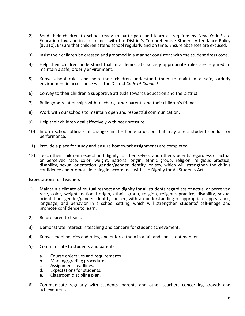- 2) Send their children to school ready to participate and learn as required by New York State Education Law and in accordance with the District's Comprehensive Student Attendance Policy (#7110). Ensure that children attend school regularly and on time. Ensure absences are excused.
- 3) Insist their children be dressed and groomed in a manner consistent with the student dress code.
- 4) Help their children understand that in a democratic society appropriate rules are required to maintain a safe, orderly environment.
- 5) Know school rules and help their children understand them to maintain a safe, orderly environment in accordance with the District Code of Conduct.
- 6) Convey to their children a supportive attitude towards education and the District.
- 7) Build good relationships with teachers, other parents and their children's friends.
- 8) Work with our schools to maintain open and respectful communication.
- 9) Help their children deal effectively with peer pressure.
- 10) Inform school officials of changes in the home situation that may affect student conduct or performance.
- 11) Provide a place for study and ensure homework assignments are completed
- 12) Teach their children respect and dignity for themselves, and other students regardless of actual or perceived race, color, weight, national origin, ethnic group, religion, religious practice, disability, sexual orientation, gender/gender identity, or sex, which will strengthen the child's confidence and promote learning in accordance with the Dignity for All Students Act.

#### Expectations for Teachers

- 1) Maintain a climate of mutual respect and dignity for all students regardless of actual or perceived race, color, weight, national origin, ethnic group, religion, religious practice, disability, sexual orientation, gender/gender identity, or sex, with an understanding of appropriate appearance, language, and behavior in a school setting, which will strengthen students' self-image and promote confidence to learn.
- 2) Be prepared to teach.
- 3) Demonstrate interest in teaching and concern for student achievement.
- 4) Know school policies and rules, and enforce them in a fair and consistent manner.
- 5) Communicate to students and parents:
	- a. Course objectives and requirements.
	- b. Marking/grading procedures.
	- c. Assignment deadlines.
	- d. Expectations for students.
	- e. Classroom discipline plan.
- 6) Communicate regularly with students, parents and other teachers concerning growth and achievement.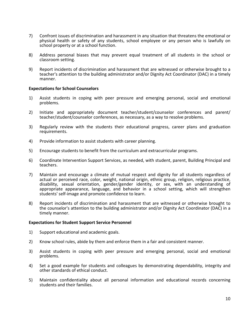- 7) Confront issues of discrimination and harassment in any situation that threatens the emotional or physical health or safety of any students, school employee or any person who is lawfully on school property or at a school function.
- 8) Address personal biases that may prevent equal treatment of all students in the school or classroom setting.
- 9) Report incidents of discrimination and harassment that are witnessed or otherwise brought to a teacher's attention to the building administrator and/or Dignity Act Coordinator (DAC) in a timely manner.

#### Expectations for School Counselors

- 1) Assist students in coping with peer pressure and emerging personal, social and emotional problems.
- 2) Initiate and appropriately document teacher/student/counselor conferences and parent/ teacher/student/counselor conferences, as necessary, as a way to resolve problems.
- 3) Regularly review with the students their educational progress, career plans and graduation requirements.
- 4) Provide information to assist students with career planning.
- 5) Encourage students to benefit from the curriculum and extracurricular programs.
- 6) Coordinate Intervention Support Services, as needed, with student, parent, Building Principal and teachers.
- 7) Maintain and encourage a climate of mutual respect and dignity for all students regardless of actual or perceived race, color, weight, national origin, ethnic group, religion, religious practice, disability, sexual orientation, gender/gender identity, or sex, with an understanding of appropriate appearance, language, and behavior in a school setting, which will strengthen students' self-image and promote confidence to learn.
- 8) Report incidents of discrimination and harassment that are witnessed or otherwise brought to the counselor's attention to the building administrator and/or Dignity Act Coordinator (DAC) in a timely manner.

#### Expectations for Student Support Service Personnel

- 1) Support educational and academic goals.
- 2) Know school rules, abide by them and enforce them in a fair and consistent manner.
- 3) Assist students in coping with peer pressure and emerging personal, social and emotional problems.
- 4) Set a good example for students and colleagues by demonstrating dependability, integrity and other standards of ethical conduct.
- 5) Maintain confidentiality about all personal information and educational records concerning students and their families.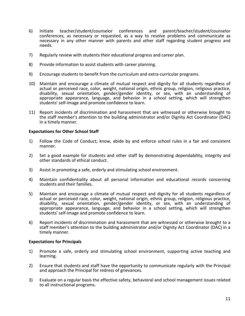- 6) Initiate teacher/student/counselor conferences and parent/teacher/student/counselor conferences, as necessary or requested, as a way to resolve problems and communicate as necessary in any other manner with parents and other staff regarding student progress and needs.
- 7) Regularly review with students their educational progress and career plan.
- 8) Provide information to assist students with career planning.
- 9) Encourage students to benefit from the curriculum and extra-curricular programs.
- 10) Maintain and encourage a climate of mutual respect and dignity for all students regardless of actual or perceived race, color, weight, national origin, ethnic group, religion, religious practice, disability, sexual orientation, gender/gender identity, or sex, with an understanding of appropriate appearance, language, and behavior in a school setting, which will strengthen students' self-image and promote confidence to learn.
- 11) Report incidents of discrimination and harassment that are witnessed or otherwise brought to the staff member's attention to the building administrator and/or Dignity Act Coordinator (DAC) in a timely manner.

#### Expectations for Other School Staff

- 1) Follow the Code of Conduct; know, abide by and enforce school rules in a fair and consistent manner.
- 2) Set a good example for students and other staff by demonstrating dependability, integrity and other standards of ethical conduct.
- 3) Assist in promoting a safe, orderly and stimulating school environment.
- 4) Maintain confidentiality about all personal information and educational records concerning students and their families.
- 5) Maintain and encourage a climate of mutual respect and dignity for all students regardless of actual or perceived race, color, weight, national origin, ethnic group, religion, religious practice, disability, sexual orientation, gender/gender identity, or sex, with an understanding of appropriate appearance, language, and behavior in a school setting, which will strengthen students' self-image and promote confidence to learn.
- 6) Report incidents of discrimination and harassment that are witnessed or otherwise brought to a staff member's attention to the building administrator and/or Dignity Act Coordinator (DAC) in a timely manner.

#### Expectations for Principals

- 1) Promote a safe, orderly and stimulating school environment, supporting active teaching and learning.
- 2) Ensure that students and staff have the opportunity to communicate regularly with the Principal and approach the Principal for redress of grievances.
- 3) Evaluate on a regular basis the effective safety, behavioral and school management issues related to all instructional programs.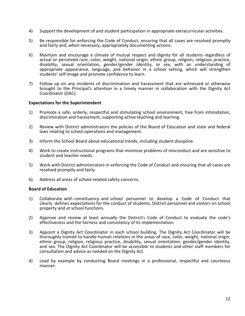- 4) Support the development of and student participation in appropriate extracurricular activities.
- 5) Be responsible for enforcing the Code of Conduct, ensuring that all cases are resolved promptly and fairly and, when necessary, appropriately documenting actions.
- 6) Maintain and encourage a climate of mutual respect and dignity for all students regardless of actual or perceived race, color, weight, national origin, ethnic group, religion, religious practice, disability, sexual orientation, gender/gender identity, or sex, with an understanding of appropriate appearance, language, and behavior in a school setting, which will strengthen students' self-image and promote confidence to learn.
- 7) Follow up on any incidents of discrimination and harassment that are witnessed or otherwise brought to the Principal's attention in a timely manner in collaboration with the Dignity Act Coordinator (DAC).

#### Expectations for the Superintendent

- 1) Promote a safe, orderly, respectful and stimulating school environment, free from intimidation, discrimination and harassment, supporting active teaching and learning.
- 2) Review with District administrators the policies of the Board of Education and state and federal laws relating to school operations and management.
- 3) Inform the School Board about educational trends, including student discipline.
- 4) Work to create instructional programs that minimize problems of misconduct and are sensitive to student and teacher needs.
- 5) Work with District administrators in enforcing the Code of Conduct and ensuring that all cases are resolved promptly and fairly.
- 6) Address all areas of school-related safety concerns.

#### Board of Education

- 1) Collaborate with constituency and school personnel to develop a Code of Conduct that clearly defines expectations for the conduct of students, District personnel and visitors on school property and at school functions.
- 2) Approve and review at least annually the District's Code of Conduct to evaluate the code's effectiveness and the fairness and consistency of its implementation.
- 3) Appoint a Dignity Act Coordinator in each school building. The Dignity Act Coordinator will be thoroughly trained to handle human relations in the areas of race, color, weight, national origin, ethnic group, religion, religious practice, disability, sexual orientation, gender/gender identity, and sex. The Dignity Act Coordinator will be accessible to students and other staff members for consultation and advice as needed on the Dignity Act.
- 4) Lead by example by conducting Board meetings in a professional, respectful and courteous manner.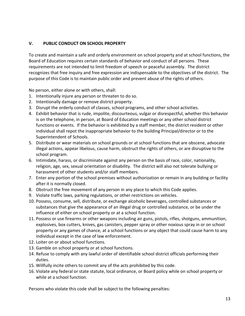## V. PUBLIC CONDUCT ON SCHOOL PROPERTY

To create and maintain a safe and orderly environment on school property and at school functions, the Board of Education requires certain standards of behavior and conduct of all persons. These requirements are not intended to limit freedom of speech or peaceful assembly. The district recognizes that free inquiry and free expression are indispensable to the objectives of the district. The purpose of this Code is to maintain public order and prevent abuse of the rights of others.

No person, either alone or with others, shall:

- 1. Intentionally injure any person or threaten to do so.
- 2. Intentionally damage or remove district property.
- 3. Disrupt the orderly conduct of classes, school programs, and other school activities.
- 4. Exhibit behavior that is rude, impolite, discourteous, vulgar or disrespectful, whether this behavior is on the telephone, in person, at Board of Education meetings or any other school district functions or events. If the behavior is exhibited by a staff member, the district resident or other individual shall repot the inappropriate behavior to the building Principal/director or to the Superintendent of Schools.
- 5. Distribute or wear materials on school grounds or at school functions that are obscene, advocate illegal actions, appear libelous, cause harm, obstruct the rights of others, or are disruptive to the school program.
- 6. Intimidate, harass, or discriminate against any person on the basis of race, color, nationality, religion, age, sex, sexual orientation or disability. The district will also not tolerate bullying or harassment of other students and/or staff members.
- 7. Enter any portion of the school premises without authorization or remain in any building or facility after it is normally closed.
- 8. Obstruct the free movement of any person in any place to which this Code applies.
- 9. Violate traffic laws, parking regulations, or other restrictions on vehicles.
- 10. Possess, consume, sell, distribute, or exchange alcoholic beverages, controlled substances or substances that give the appearance of an illegal drug or controlled substance, or be under the influence of either on school property or at a school function.
- 11. Possess or use firearms or other weapons including air guns, pistols, rifles, shotguns, ammunition, explosives, box cutters, knives, gas canisters, pepper spray or other noxious spray in or on school property or any games of chance, at a school functions or any object that could cause harm to any individual except in the case of law enforcement.
- 12. Loiter on or about school functions.
- 13. Gamble on school property or at school functions.
- 14. Refuse to comply with any lawful order of identifiable school district officials performing their duties.
- 15. Willfully incite others to commit any of the acts prohibited by this code.
- 16. Violate any federal or state statute, local ordinance, or Board policy while on school property or while at a school function.

Persons who violate this code shall be subject to the following penalties: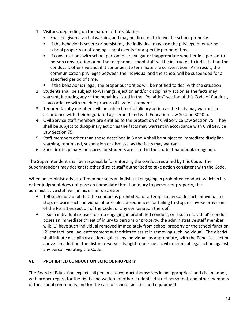- 1. Visitors, depending on the nature of the violation:
	- Shall be given a verbal warning and may be directed to leave the school property.
	- If the behavior is severe or persistent, the individual may lose the privilege of entering school property or attending school events for a specific period of time.
	- If conversations with school personnel are vulgar or inappropriate whether in a person-toperson conversation or on the telephone, school staff will be instructed to indicate that the conduct is offensive and, if it continues, to terminate the conversation. As a result, the communication privileges between the individual and the school will be suspended for a specified period of time.
	- If the behavior is illegal, the proper authorities will be notified to deal with the situation.
- 2. Students shall be subject to warnings, ejection and/or disciplinary action as the facts may warrant, including any of the penalties listed in the "Penalties" section of this Code of Conduct, in accordance with the due process of law requirements.
- 3. Tenured faculty members will be subject to disciplinary action as the facts may warrant in accordance with their negotiated agreement and with Education Law Section 3020-a.
- 4. Civil Service staff members are entitled to the protection of Civil Service Law Section 75. They shall be subject to disciplinary action as the facts may warrant in accordance with Civil Service Law Section 75.
- 5. Staff members other than those described in 3 and 4 shall be subject to immediate discipline warning, reprimand, suspension or dismissal as the facts may warrant.
- 6. Specific disciplinary measures for students are listed in the student handbook or agenda.

The Superintendent shall be responsible for enforcing the conduct required by this Code. The Superintendent may designate other district staff authorized to take action consistent with the Code.

When an administrative staff member sees an individual engaging in prohibited conduct, which in his or her judgment does not pose an immediate threat or injury to persons or property, the administrative staff will, in his or her discretion:

- Tell such individual that the conduct is prohibited; or attempt to persuade such individual to stop; or warn such individual of possible consequences for failing to stop; or invoke provisions of the Penalties section of the Code, or any combination thereof.
- If such individual refuses to stop engaging in prohibited conduct, or if such individual's conduct poses an immediate threat of injury to persons or property, the administrative staff member will: (1) have such individual removed immediately from school property or the school function. (2) contact local law enforcement authorities to assist in removing such individual. The district shall initiate disciplinary action against any individual, as appropriate, with the Penalties section above. In addition, the district reserves its right to pursue a civil or criminal legal action against any person violating the Code.

## VI. PROHIBITED CONDUCT ON SCHOOL PROPERTY

The Board of Education expects all persons to conduct themselves in an appropriate and civil manner, with proper regard for the rights and welfare of other students, district personnel, and other members of the school community and for the care of school facilities and equipment.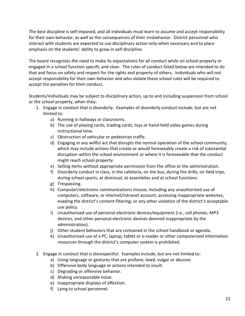The best discipline is self-imposed, and all individuals must learn to assume and accept responsibility for their own behavior, as well as the consequences of their misbehavior. District personnel who interact with students are expected to use disciplinary action only when necessary and to place emphasis on the students' ability to grow in self-discipline.

The board recognizes the need to make its expectations for all conduct while on school property or engaged in a school function specific and clear. The rules of conduct listed below are intended to do that and focus on safety and respect for the rights and property of others. Individuals who will not accept responsibility for their own behavior and who violate these school rules will be required to accept the penalties for their conduct.

Students/individuals may be subject to disciplinary action, up to and including suspension from school or the school property, when they:

- 1. Engage in conduct that is disorderly. Examples of disorderly conduct include, but are not limited to:
	- a) Running in hallways or classrooms.
	- b) The use of playing cards, trading cards, toys or hand-held video games during instructional time.
	- c) Obstruction of vehicular or pedestrian traffic.
	- d) Engaging in any willful act that disrupts the normal operation of the school community, which may include actions that create or would foreseeably create a risk of substantial disruption within the school environment or where it is foreseeable that the conduct might reach school property.
	- e) Selling items without appropriate permission from the office or the administration.
	- f) Disorderly conduct in class, in the cafeteria, on the bus, during fire drills, on field trips, during school sports, at dismissal, at assemblies and at school functions.
	- g) Trespassing.
	- h) Computer/electronic communications misuse, including any unauthorized use of computers, software, or internet/intranet account; accessing inappropriate websites; evading the district's content filtering; or any other violation of the district's acceptable use policy.
	- i) Unauthorized use of personal electronic devices/equipment (i.e., cell phones, MP3 devices, and other personal electronic devices deemed inappropriate by the administration).
	- j) Other student behaviors that are contained in the school handbook or agenda.
	- k) Unauthorized use of a PC, laptop, tablet or e-reader or other computerized information resources through the district's computer system is prohibited.
- 2. Engage in conduct that is disrespectful. Examples include, but are not limited to:
	- a) Using language or gestures that are profane, lewd, vulgar or abusive.
	- b) Offensive body language or actions intended to insult.
	- c) Degrading or offensive behavior.
	- d) Making unreasonable noise.
	- e) Inappropriate displays of affection.
	- f) Lying to school personnel.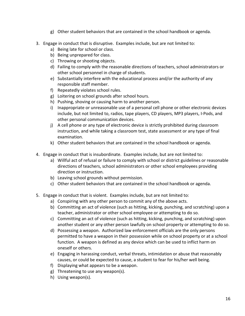- g) Other student behaviors that are contained in the school handbook or agenda.
- 3. Engage in conduct that is disruptive. Examples include, but are not limited to:
	- a) Being late for school or class.
	- b) Being unprepared for class.
	- c) Throwing or shooting objects.
	- d) Failing to comply with the reasonable directions of teachers, school administrators or other school personnel in charge of students.
	- e) Substantially interfere with the educational process and/or the authority of any responsible staff member.
	- f) Repeatedly violates school rules.
	- g) Loitering on school grounds after school hours.
	- h) Pushing, shoving or causing harm to another person.
	- i) Inappropriate or unreasonable use of a personal cell phone or other electronic devices include, but not limited to, radios, tape players, CD players, MP3 players, I-Pods, and other personal communication devices.
	- j) A cell phone or any type of electronic device is strictly prohibited during classroom instruction, and while taking a classroom test, state assessment or any type of final examination.
	- k) Other student behaviors that are contained in the school handbook or agenda.
- 4. Engage in conduct that is insubordinate. Examples include, but are not limited to:
	- a) Willful act of refusal or failure to comply with school or district guidelines or reasonable directions of teachers, school administrators or other school employees providing direction or instruction.
	- b) Leaving school grounds without permission.
	- c) Other student behaviors that are contained in the school handbook or agenda.
- 5. Engage in conduct that is violent. Examples include, but are not limited to:
	- a) Conspiring with any other person to commit any of the above acts.
	- b) Committing an act of violence (such as hitting, kicking, punching, and scratching) upon a teacher, administrator or other school employee or attempting to do so.
	- c) Committing an act of violence (such as hitting, kicking, punching, and scratching) upon another student or any other person lawfully on school property or attempting to do so.
	- d) Possessing a weapon. Authorized law enforcement officials are the only persons permitted to have a weapon in their possession while on school property or at a school function. A weapon is defined as any device which can be used to inflict harm on oneself or others.
	- e) Engaging in harassing conduct, verbal threats, intimidation or abuse that reasonably causes, or could be expected to cause, a student to fear for his/her well being.
	- f) Displaying what appears to be a weapon.
	- g) Threatening to use any weapon(s).
	- h) Using weapon(s).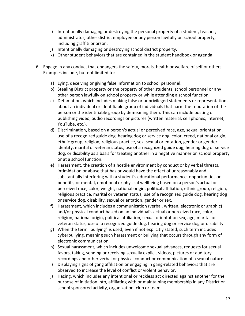- i) Intentionally damaging or destroying the personal property of a student, teacher, administrator, other district employee or any person lawfully on school property, including graffiti or arson.
- j) Intentionally damaging or destroying school district property.
- k) Other student behaviors that are contained in the student handbook or agenda.
- 6. Engage in any conduct that endangers the safety, morals, health or welfare of self or others. Examples include, but not limited to:
	- a) Lying, deceiving or giving false information to school personnel.
	- b) Stealing District property or the property of other students, school personnel or any other person lawfully on school property or while attending a school function.
	- c) Defamation, which includes making false or unprivileged statements or representations about an individual or identifiable group of individuals that harm the reputation of the person or the identifiable group by demeaning them. This can include posting or publishing video, audio recordings or pictures (written material, cell phones, Internet, YouTube, etc.).
	- d) Discrimination, based on a person's actual or perceived race, age, sexual orientation, use of a recognized guide dog, hearing dog or service dog, color, creed, national origin, ethnic group, religion, religious practice, sex, sexual orientation, gender or gender identity, marital or veteran status, use of a recognized guide dog, hearing dog or service dog, or disability as a basis for treating another in a negative manner on school property or at a school function.
	- e) Harassment, the creation of a hostile environment by conduct or by verbal threats, intimidation or abuse that has or would have the effect of unreasonably and substantially interfering with a student's educational performance, opportunities or benefits, or mental, emotional or physical wellbeing based on a person's actual or perceived race, color, weight, national origin, political affiliation, ethnic group, religion, religious practice, marital or veteran status, use of a recognized guide dog, hearing dog or service dog, disability, sexual orientation, gender or sex.
	- f) Harassment, which includes a communication (verbal, written, electronic or graphic) and/or physical conduct based on an individual's actual or perceived race, color, religion, national origin, political affiliation, sexual orientation sex, age, marital or veteran status, use of a recognized guide dog, hearing dog or service dog or disability.
	- g) When the term "bullying" is used, even if not explicitly stated, such term includes cyberbullying, meaning such harassment or bullying that occurs through any form of electronic communication.
	- h) Sexual harassment, which includes unwelcome sexual advances, requests for sexual favors, taking, sending or receiving sexually explicit videos, pictures or auditory recordings and other verbal or physical conduct or communication of a sexual nature.
	- i) Displaying signs of gang affiliation or engaging in gang-related behaviors that are observed to increase the level of conflict or violent behavior.
	- j) Hazing, which includes any intentional or reckless act directed against another for the purpose of initiation into, affiliating with or maintaining membership in any District or school sponsored activity, organization, club or team.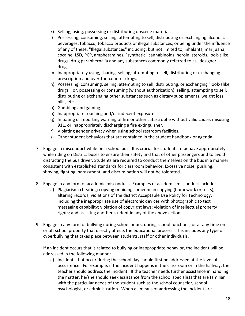- k) Selling, using, possessing or distributing obscene material.
- l) Possessing, consuming, selling, attempting to sell, distributing or exchanging alcoholic beverages, tobacco, tobacco products or illegal substances, or being under the influence of any of these. "Illegal substances" including, but not limited to, inhalants, marijuana, cocaine, LSD, PCP, amphetamines, "synthetic" cannabinoids, heroin, steroids, look-alike drugs, drug paraphernalia and any substances commonly referred to as "designer drugs."
- m) Inappropriately using, sharing, selling, attempting to sell, distributing or exchanging prescription and over-the-counter drugs.
- n) Possessing, consuming, selling, attempting to sell, distributing, or exchanging "look-alike drugs"; or, possessing or consuming (without authorization), selling, attempting to sell, distributing or exchanging other substances such as dietary supplements, weight loss pills, etc.
- o) Gambling and gaming.
- p) Inappropriate touching and/or indecent exposure.
- q) Initiating or reporting warning of fire or other catastrophe without valid cause, misusing 911, or inappropriately discharging a fire extinguisher.
- r) Violating gender privacy when using school restroom facilities.
- s) Other student behaviors that are contained in the student handbook or agenda.
- 7. Engage in misconduct while on a school bus. It is crucial for students to behave appropriately while riding on District buses to ensure their safety and that of other passengers and to avoid distracting the bus driver. Students are required to conduct themselves on the bus in a manner consistent with established standards for classroom behavior. Excessive noise, pushing, shoving, fighting, harassment, and discrimination will not be tolerated.
- 8. Engage in any form of academic misconduct. Examples of academic misconduct include:
	- a) Plagiarism; cheating; copying or aiding someone in copying (homework or tests); altering records; violations of the district Acceptable Use Policy for Technology, including the inappropriate use of electronic devices with photographic to text messaging capability; violation of copyright laws; violation of intellectual property rights; and assisting another student in any of the above actions.
- 9. Engage in any form of bullying during school hours, during school functions, or at any time on or off school property that directly affects the educational process. This includes any type of cyberbullying that takes place between students, staff or other individuals.

If an incident occurs that is related to bullying or inappropriate behavior, the incident will be addressed in the following manner.

a) Incidents that occur during the school day should first be addressed at the level of occurrence. For example, if the incident happens in the classroom or in the hallway, the teacher should address the incident. If the teacher needs further assistance in handling the matter, he/she should seek assistance from the school specialists that are familiar with the particular needs of the student such as the school counselor, school psychologist, or administration. When all means of addressing the incident are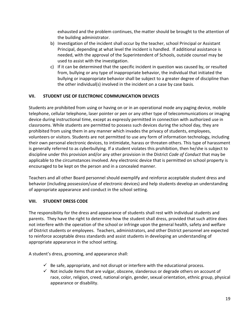exhausted and the problem continues, the matter should be brought to the attention of the building administrator.

- b) Investigation of the incident shall occur by the teacher, school Principal or Assistant Principal, depending at what level the incident is handled. If additional assistance is needed, with the approval of the Superintendent of Schools, outside counsel may be used to assist with the investigation.
- c) If it can be determined that the specific incident in question was caused by, or resulted from, bullying or any type of inappropriate behavior, the individual that initiated the bullying or inappropriate behavior shall be subject to a greater degree of discipline than the other individual(s) involved in the incident on a case by case basis.

## VII. STUDENT USE OF ELECTRONIC COMMUNICATION DEVICES

Students are prohibited from using or having on or in an operational mode any paging device, mobile telephone, cellular telephone, laser pointer or pen or any other type of telecommunications or imaging device during instructional time, except as expressly permitted in connection with authorized use in classrooms. While students are permitted to possess such devices during the school day, they are prohibited from using them in any manner which invades the privacy of students, employees, volunteers or visitors. Students are not permitted to use any form of information technology, including their own personal electronic devices, to intimidate, harass or threaten others. This type of harassment is generally referred to as cyberbullying. If a student violates this prohibition, then he/she is subject to discipline under this provision and/or any other provision in the District Code of Conduct that may be applicable to the circumstances involved. Any electronic device that is permitted on school property is encouraged to be kept on the person and in a concealed manner.

Teachers and all other Board personnel should exemplify and reinforce acceptable student dress and behavior (including possession/use of electronic devices) and help students develop an understanding of appropriate appearance and conduct in the school setting.

## VIII. STUDENT DRESS CODE

The responsibility for the dress and appearance of students shall rest with individual students and parents. They have the right to determine how the student shall dress, provided that such attire does not interfere with the operation of the school or infringe upon the general health, safety and welfare of District students or employees. Teachers, administrators, and other District personnel are expected to reinforce acceptable dress standards and assist students in developing an understanding of appropriate appearance in the school setting.

A student's dress, grooming, and appearance shall:

- $\checkmark$  Be safe, appropriate, and not disrupt or interfere with the educational process.
- $\checkmark$  Not include items that are vulgar, obscene, slanderous or degrade others on account of race, color, religion, creed, national origin, gender, sexual orientation, ethnic group, physical appearance or disability.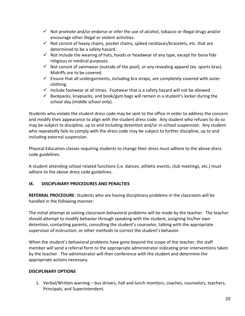- $\checkmark$  Not promote and/or endorse or infer the use of alcohol, tobacco or illegal drugs and/or encourage other illegal or violent activities.
- $\checkmark$  Not consist of heavy chains, pocket chains, spiked necklaces/bracelets, etc. that are determined to be a safety hazard.
- $\checkmark$  Not include the wearing of hats, hoods or headwear of any type, except for bona fide religious or medical purposes.
- $\checkmark$  Not consist of swimwear (outside of the pool), or any revealing apparel (ex. sports bras). Midriffs are to be covered.
- $\checkmark$  Ensure that all undergarments, including bra straps, are completely covered with outer clothing.
- $\checkmark$  Include footwear at all times. Footwear that is a safety hazard will not be allowed.
- $\checkmark$  Backpacks, knapsacks, and book/gym bags will remain in a student's locker during the school day (middle school only).

Students who violate the student dress code may be sent to the office in order to address the concern and modify their appearance to align with the student dress code. Any student who refuses to do so may be subject to discipline, up to and including detention and/or in-school suspension. Any student who repeatedly fails to comply with the dress code may be subject to further discipline, up to and including external suspension.

Physical Education classes requiring students to change their dress must adhere to the above dress code guidelines.

A student attending school related functions (i.e. dances, athletic events, club meetings, etc.) must adhere to the above dress code guidelines.

## IX. DISCIPLINARY PROCEDURES AND PENALTIES

REFERRAL PROCEDURE: Students who are having disciplinary problems in the classroom will be handled in the following manner:

The initial attempt at solving classroom behavioral problems will be made by the teacher. The teacher should attempt to modify behavior through speaking with the student, assigning his/her own detention, contacting parents, consulting the student's counselor, talking with the appropriate supervisor of instruction, or other methods to correct the student's behavior.

When the student's behavioral problems have gone beyond the scope of the teacher, the staff member will send a referral form to the appropriate administrator indicating prior interventions taken by the teacher. The administrator will then conference with the student and determine the appropriate actions necessary.

## DISCIPLINARY OPTIONS

1. Verbal/Written warning – bus drivers, hall and lunch monitors, coaches, counselors, teachers, Principals, and Superintendent.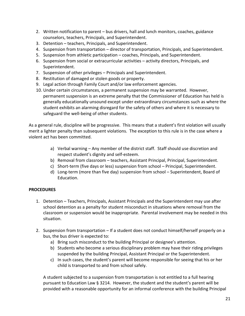- 2. Written notification to parent bus drivers, hall and lunch monitors, coaches, guidance counselors, teachers, Principals, and Superintendent.
- 3. Detention teachers, Principals, and Superintendent.
- 4. Suspension from transportation director of transportation, Principals, and Superintendent.
- 5. Suspension from athletic participation coaches, Principals, and Superintendent.
- 6. Suspension from social or extracurricular activities activity directors, Principals, and Superintendent.
- 7. Suspension of other privileges Principals and Superintendent.
- 8. Restitution of damaged or stolen goods or property.
- 9. Legal action through Family Court and/or law enforcement agencies.
- 10. Under certain circumstances, a permanent suspension may be warranted. However, permanent suspension is an extreme penalty that the Commissioner of Education has held is generally educationally unsound except under extraordinary circumstances such as where the student exhibits an alarming disregard for the safety of others and where it is necessary to safeguard the well-being of other students.

As a general rule, discipline will be progressive. This means that a student's first violation will usually merit a lighter penalty than subsequent violations. The exception to this rule is in the case where a violent act has been committed.

- a) Verbal warning Any member of the district staff. Staff should use discretion and respect student's dignity and self-esteem.
- b) Removal from classroom teachers, Assistant Principal, Principal, Superintendent.
- c) Short-term (five days or less) suspension from school Principal, Superintendent.
- d) Long-term (more than five day) suspension from school Superintendent, Board of Education.

## **PROCEDURES**

- 1. Detention Teachers, Principals, Assistant Principals and the Superintendent may use after school detention as a penalty for student misconduct in situations where removal from the classroom or suspension would be inappropriate. Parental involvement may be needed in this situation.
- 2. Suspension from transportation If a student does not conduct himself/herself properly on a bus, the bus driver is expected to:
	- a) Bring such misconduct to the building Principal or designee's attention.
	- b) Students who become a serious disciplinary problem may have their riding privileges suspended by the building Principal, Assistant Principal or the Superintendent.
	- c) In such cases, the student's parent will become responsible for seeing that his or her child is transported to and from school safely.

A student subjected to a suspension from transportation is not entitled to a full hearing pursuant to Education Law § 3214. However, the student and the student's parent will be provided with a reasonable opportunity for an informal conference with the building Principal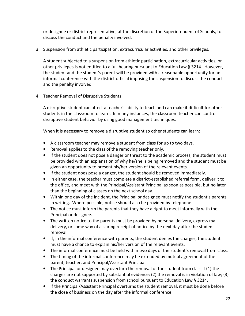or designee or district representative, at the discretion of the Superintendent of Schools, to discuss the conduct and the penalty involved.

3. Suspension from athletic participation, extracurricular activities, and other privileges.

A student subjected to a suspension from athletic participation, extracurricular activities, or other privileges is not entitled to a full hearing pursuant to Education Law § 3214. However, the student and the student's parent will be provided with a reasonable opportunity for an informal conference with the district official imposing the suspension to discuss the conduct and the penalty involved.

4. Teacher Removal of Disruptive Students.

A disruptive student can affect a teacher's ability to teach and can make it difficult for other students in the classroom to learn. In many instances, the classroom teacher can control disruptive student behavior by using good management techniques.

When it is necessary to remove a disruptive student so other students can learn:

- A classroom teacher may remove a student from class for up to two days.
- Removal applies to the class of the removing teacher only.
- If the student does not pose a danger or threat to the academic process, the student must be provided with an explanation of why he/she is being removed and the student must be given an opportunity to present his/her version of the relevant events.
- If the student does pose a danger, the student should be removed immediately.
- In either case, the teacher must complete a district-established referral form, deliver it to the office, and meet with the Principal/Assistant Principal as soon as possible, but no later than the beginning of classes on the next school day.
- Within one day of the incident, the Principal or designee must notify the student's parents in writing. Where possible, notice should also be provided by telephone.
- The notice must inform the parents that they have a right to meet informally with the Principal or designee.
- The written notice to the parents must be provided by personal delivery, express mail delivery, or some way of assuring receipt of notice by the next day after the student removal.
- If, in the informal conference with parents, the student denies the charges, the student must have a chance to explain his/her version of the relevant events.
- The informal conference must be held within two days of the student's removal from class.
- The timing of the informal conference may be extended by mutual agreement of the parent, teacher, and Principal/Assistant Principal.
- The Principal or designee may overturn the removal of the student from class if (1) the charges are not supported by substantial evidence; (2) the removal is in violation of law; (3) the conduct warrants suspension from school pursuant to Education Law § 3214.
- If the Principal/Assistant Principal overturns the student removal, it must be done before the close of business on the day after the informal conference.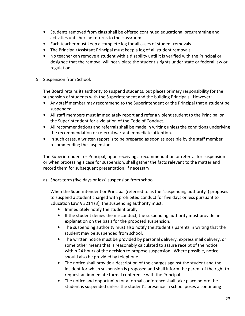- Students removed from class shall be offered continued educational programming and activities until he/she returns to the classroom.
- Each teacher must keep a complete log for all cases of student removals.
- The Principal/Assistant Principal must keep a log of all student removals.
- No teacher can remove a student with a disability until it is verified with the Principal or designee that the removal will not violate the student's rights under state or federal law or regulation.
- 5. Suspension from School.

The Board retains its authority to suspend students, but places primary responsibility for the suspension of students with the Superintendent and the building Principals. However:

- Any staff member may recommend to the Superintendent or the Principal that a student be suspended.
- All staff members must immediately report and refer a violent student to the Principal or the Superintendent for a violation of the Code of Conduct.
- All recommendations and referrals shall be made in writing unless the conditions underlying the recommendation or referral warrant immediate attention.
- In such cases, a written report is to be prepared as soon as possible by the staff member recommending the suspension.

The Superintendent or Principal, upon receiving a recommendation or referral for suspension or when processing a case for suspension, shall gather the facts relevant to the matter and record them for subsequent presentation, if necessary.

a) Short-term (five days or less) suspension from school

When the Superintendent or Principal (referred to as the "suspending authority") proposes to suspend a student charged with prohibited conduct for five days or less pursuant to Education Law § 3214 (3), the suspending authority must:

- Immediately notify the student orally.
- If the student denies the misconduct, the suspending authority must provide an explanation on the basis for the proposed suspension.
- The suspending authority must also notify the student's parents in writing that the student may be suspended from school.
- The written notice must be provided by personal delivery, express mail delivery, or some other means that is reasonably calculated to assure receipt of the notice within 24 hours of the decision to propose suspension. Where possible, notice should also be provided by telephone.
- The notice shall provide a description of the charges against the student and the incident for which suspension is proposed and shall inform the parent of the right to request an immediate formal conference with the Principal.
- The notice and opportunity for a formal conference shall take place before the student is suspended unless the student's presence in school poses a continuing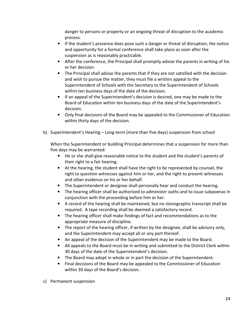danger to persons or property or an ongoing threat of disruption to the academic process.

- If the student's presence does pose such a danger or threat of disruption, the notice and opportunity for a formal conference shall take place as soon after the suspension as is reasonably practicable.
- After the conference, the Principal shall promptly advise the parents in writing of his or her decision.
- The Principal shall advise the parents that if they are not satisfied with the decision and wish to pursue the matter, they must file a written appeal to the Superintendent of Schools with the Secretary to the Superintendent of Schools within ten business days of the date of the decision.
- If an appeal of the Superintendent's decision is desired, one may be made to the Board of Education within ten business days of the date of the Superintendent's decision.
- Only final decisions of the Board may be appealed to the Commissioner of Education within thirty days of the decision.
- b) Superintendent's Hearing Long-term (more than five days) suspension from school

When the Superintendent or building Principal determines that a suspension for more than five days may be warranted:

- He or she shall give reasonable notice to the student and the student's parents of their right to a fair hearing.
- At the hearing, the student shall have the right to be represented by counsel, the right to question witnesses against him or her, and the right to present witnesses and other evidence on his or her behalf.
- The Superintendent or designee shall personally hear and conduct the hearing.
- The hearing officer shall be authorized to administer oaths and to issue subpoenas in conjunction with the proceeding before him or her.
- A record of the hearing shall be maintained, but no stenographic transcript shall be required. A tape recording shall be deemed a satisfactory record.
- The hearing officer shall make findings of fact and recommendations as to the appropriate measure of discipline.
- The report of the hearing officer, if written by the designee, shall be advisory only, and the Superintendent may accept all or any part thereof.
- An appeal of the decision of the Superintendent may be made to the Board.
- All appeals to the Board must be in writing and submitted to the District Clerk within 30 days of the date of the Superintendent's decision.
- The Board may adopt in whole or in part the decision of the Superintendent.
- Final decisions of the Board may be appealed to the Commissioner of Education within 30 days of the Board's decision.
- c) Permanent suspension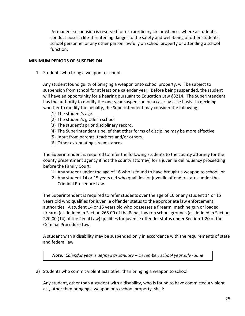Permanent suspension is reserved for extraordinary circumstances where a student's conduct poses a life-threatening danger to the safety and well-being of other students, school personnel or any other person lawfully on school property or attending a school function.

#### MINIMUM PERIODS OF SUSPENSION

1. Students who bring a weapon to school.

Any student found guilty of bringing a weapon onto school property, will be subject to suspension from school for at least one calendar year. Before being suspended, the student will have an opportunity for a hearing pursuant to Education Law §3214. The Superintendent has the authority to modify the one-year suspension on a case-by-case basis. In deciding whether to modify the penalty, the Superintendent may consider the following:

- (1) The student's age.
- (2) The student's grade in school
- (3) The student's prior disciplinary record.
- (4) The Superintendent's belief that other forms of discipline may be more effective.
- (5) Input from parents, teachers and/or others.
- (6) Other extenuating circumstances.

The Superintendent is required to refer the following students to the county attorney (or the county presentment agency if not the county attorney) for a juvenile delinquency proceeding before the Family Court:

- (1) Any student under the age of 16 who is found to have brought a weapon to school, or
- (2) Any student 14 or 15 years old who qualifies for juvenile offender status under the Criminal Procedure Law.

The Superintendent is required to refer students over the age of 16 or any student 14 or 15 years old who qualifies for juvenile offender status to the appropriate law enforcement authorities. A student 14 or 15 years old who possesses a firearm, machine gun or loaded firearm (as defined in Section 265.00 of the Penal Law) on school grounds (as defined in Section 220.00 (14) of the Penal Law) qualifies for juvenile offender status under Section 1.20 of the Criminal Procedure Law.

A student with a disability may be suspended only in accordance with the requirements of state and federal law.

Note: Calendar year is defined as January – December; school year July - June

2) Students who commit violent acts other than bringing a weapon to school.

Any student, other than a student with a disability, who is found to have committed a violent act, other then bringing a weapon onto school property, shall: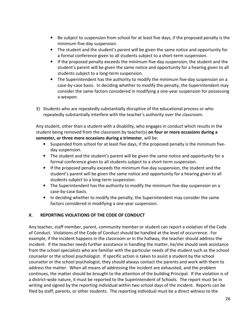- Be subject to suspension from school for at least five days, if the proposed penalty is the minimum five-day suspension.
- The student and the student's parent will be given the same notice and opportunity for a formal conference given to all students subject to a short-term suspension.
- If the proposed penalty exceeds the minimum five-day suspension, the student and the student's parent will be given the same notice and opportunity for a hearing given to all students subject to a long-term suspension.
- The Superintendent has the authority to modify the minimum five-day suspension on a case-by-case basis. In deciding whether to modify the penalty, the Superintendent may consider the same factors considered in modifying a one-year suspension for possessing a weapon.
- 3) Students who are repeatedly substantially disruptive of the educational process or who repeatedly substantially interfere with the teacher's authority over the classroom.

Any student, other than a student with a disability, who engages in conduct which results in the student being removed from the classroom by teacher(s) on four or more occasions during a semester, or three more occasions during a trimester, will be:

- Suspended from school for at least five days, if the proposed penalty is the minimum fiveday suspension.
- The student and the student's parent will be given the same notice and opportunity for a formal conference given to all students subject to a short-term suspension.
- If the proposed penalty exceeds the minimum five-day suspension, the student and the student's parent will be given the same notice and opportunity for a hearing given to all students subject to a long-term suspension.
- The Superintendent has the authority to modify the minimum five-day suspension on a case-by-case basis.
- In deciding whether to modify the penalty, the Superintendent may consider the same factors considered in modifying a one-year suspension.

## X. REPORTING VIOLATIONS OF THE CODE OF CONDUCT

Any teacher, staff member, parent, community member or student can report a violation of the Code of Conduct. Violations of the Code of Conduct should be handled at the level of occurrence. For example, if the incident happens in the classroom or in the hallway, the teacher should address the incident. If the teacher needs further assistance in handling the matter, he/she should seek assistance from the school specialists who are familiar with the particular needs of the student such as the school counselor or the school psychologist. If specific action is taken to assist a student by the school counselor or the school psychologist, they should always contact the parents and work with them to address the matter. When all means of addressing the incident are exhausted, and the problem continues, the matter should be brought to the attention of the building Principal. If the violation is of a district-wide nature, it must be reported to the Superintendent of Schools. The report must be in writing and signed by the reporting individual within two school days of the incident. Reports can be filed by staff, parents, or other students. The reporting individual must be a direct witness to the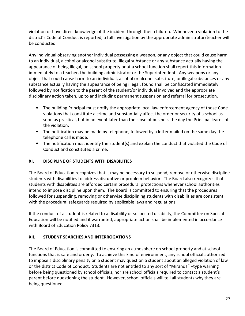violation or have direct knowledge of the incident through their children. Whenever a violation to the district's Code of Conduct is reported, a full investigation by the appropriate administrator/teacher will be conducted.

Any individual observing another individual possessing a weapon, or any object that could cause harm to an individual, alcohol or alcohol substitute, illegal substance or any substance actually having the appearance of being illegal, on school property or at a school function shall report this information immediately to a teacher, the building administrator or the Superintendent. Any weapons or any object that could cause harm to an individual, alcohol or alcohol substitute, or illegal substances or any substance actually having the appearance of being illegal, found shall be confiscated immediately followed by notification to the parent of the student/or individual involved and the appropriate disciplinary action taken, up to and including permanent suspension and referral for prosecution.

- The building Principal must notify the appropriate local law enforcement agency of those Code violations that constitute a crime and substantially affect the order or security of a school as soon as practical, but in no event later than the close of business the day the Principal learns of the violation.
- The notification may be made by telephone, followed by a letter mailed on the same day the telephone call is made.
- The notification must identify the student(s) and explain the conduct that violated the Code of Conduct and constituted a crime.

## XI. DISCIPLINE OF STUDENTS WITH DISABILITIES

The Board of Education recognizes that it may be necessary to suspend, remove or otherwise discipline students with disabilities to address disruptive or problem behavior. The Board also recognizes that students with disabilities are afforded certain procedural protections whenever school authorities intend to impose discipline upon them. The Board is committed to ensuring that the procedures followed for suspending, removing or otherwise disciplining students with disabilities are consistent with the procedural safeguards required by applicable laws and regulations.

If the conduct of a student is related to a disability or suspected disability, the Committee on Special Education will be notified and if warranted, appropriate action shall be implemented in accordance with Board of Education Policy 7313.

## XII. STUDENT SEARCHES AND INTERROGATIONS

The Board of Education is committed to ensuring an atmosphere on school property and at school functions that is safe and orderly. To achieve this kind of environment, any school official authorized to impose a disciplinary penalty on a student may question a student about an alleged violation of law or the district Code of Conduct. Students are not entitled to any sort of "Miranda" –type warning before being questioned by school officials, nor are school officials required to contact a student's parent before questioning the student. However, school officials will tell all students why they are being questioned.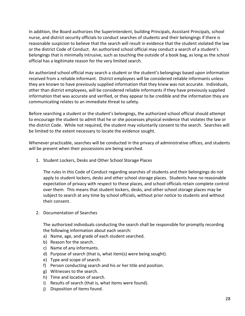In addition, the Board authorizes the Superintendent, building Principals, Assistant Principals, school nurse, and district security officials to conduct searches of students and their belongings if there is reasonable suspicion to believe that the search will result in evidence that the student violated the law or the district Code of Conduct. An authorized school official may conduct a search of a student's belongings that is minimally intrusive, such as touching the outside of a book bag, as long as the school official has a legitimate reason for the very limited search.

An authorized school official may search a student or the student's belongings based upon information received from a reliable informant. District employees will be considered reliable informants unless they are known to have previously supplied information that they knew was not accurate. Individuals, other than district employees, will be considered reliable informants if they have previously supplied information that was accurate and verified, or they appear to be credible and the information they are communicating relates to an immediate threat to safety.

Before searching a student or the student's belongings, the authorized school official should attempt to encourage the student to admit that he or she possesses physical evidence that violates the law or the district Code. While not required, the student may voluntarily consent to the search. Searches will be limited to the extent necessary to locate the evidence sought.

Whenever practicable, searches will be conducted in the privacy of administrative offices, and students will be present when their possessions are being searched.

1. Student Lockers, Desks and Other School Storage Places

The rules in this Code of Conduct regarding searches of students and their belongings do not apply to student lockers, desks and other school storage places. Students have no reasonable expectation of privacy with respect to these places, and school officials retain complete control over them. This means that student lockers, desks, and other school storage places may be subject to search at any time by school officials, without prior notice to students and without their consent.

2. Documentation of Searches

The authorized individuals conducting the search shall be responsible for promptly recording the following information about each search:

- a) Name, age, and grade of each student searched.
- b) Reason for the search.
- c) Name of any informants.
- d) Purpose of search (that is, what item(s) were being sought).
- e) Type and scope of search.
- f) Person conducting search and his or her title and position.
- g) Witnesses to the search.
- h) Time and location of search.
- i) Results of search (that is, what items were found).
- j) Disposition of items found.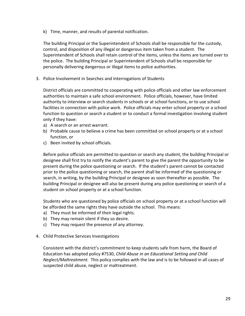k) Time, manner, and results of parental notification.

The building Principal or the Superintendent of Schools shall be responsible for the custody, control, and disposition of any illegal or dangerous item taken from a student. The Superintendent of Schools shall retain control of the items, unless the items are turned over to the police. The building Principal or Superintendent of Schools shall be responsible for personally delivering dangerous or illegal items to police authorities.

3. Police Involvement in Searches and Interrogations of Students

District officials are committed to cooperating with police officials and other law enforcement authorities to maintain a safe school environment. Police officials, however, have limited authority to interview or search students in schools or at school functions, or to use school facilities in connection with police work. Police officials may enter school property or a school function to question or search a student or to conduct a formal investigation involving student only if they have:

- a) A search or an arrest warrant.
- b) Probable cause to believe a crime has been committed on school property or at a school function, or
- c) Been invited by school officials.

Before police officials are permitted to question or search any student, the building Principal or designee shall first try to notify the student's parent to give the parent the opportunity to be present during the police questioning or search. If the student's parent cannot be contacted prior to the police questioning or search, the parent shall be informed of the questioning or search, in writing, by the building Principal or designee as soon thereafter as possible. The building Principal or designee will also be present during any police questioning or search of a student on school property or at a school function.

Students who are questioned by police officials on school property or at a school function will be afforded the same rights they have outside the school. This means:

- a) They must be informed of their legal rights.
- b) They may remain silent if they so desire.
- c) They may request the presence of any attorney.
- 4. Child Protective Services Investigations

Consistent with the district's commitment to keep students safe from harm, the Board of Education has adopted policy #7530, Child Abuse in an Educational Setting and Child Neglect/Maltreatment. This policy complies with the law and is to be followed in all cases of suspected child abuse, neglect or maltreatment.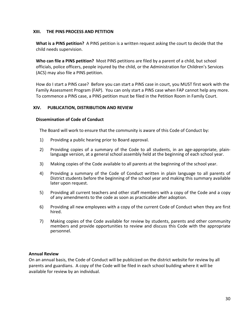#### XIII. THE PINS PROCESS AND PETITION

What is a PINS petition? A PINS petition is a written request asking the court to decide that the child needs supervision.

Who can file a PINS petition? Most PINS petitions are filed by a parent of a child, but school officials, police officers, people injured by the child, or the Administration for Children's Services (ACS) may also file a PINS petition.

How do I start a PINS case? Before you can start a PINS case in court, you MUST first work with the Family Assessment Program (FAP). You can only start a PINS case when FAP cannot help any more. To commence a PINS case, a PINS petition must be filed in the Petition Room in Family Court.

#### XIV. PUBLICATION, DISTRIBUTION AND REVIEW

#### Dissemination of Code of Conduct

The Board will work to ensure that the community is aware of this Code of Conduct by:

- 1) Providing a public hearing prior to Board approval.
- 2) Providing copies of a summary of the Code to all students, in an age-appropriate, plainlanguage version, at a general school assembly held at the beginning of each school year.
- 3) Making copies of the Code available to all parents at the beginning of the school year.
- 4) Providing a summary of the Code of Conduct written in plain language to all parents of District students before the beginning of the school year and making this summary available later upon request.
- 5) Providing all current teachers and other staff members with a copy of the Code and a copy of any amendments to the code as soon as practicable after adoption.
- 6) Providing all new employees with a copy of the current Code of Conduct when they are first hired.
- 7) Making copies of the Code available for review by students, parents and other community members and provide opportunities to review and discuss this Code with the appropriate personnel.

#### Annual Review

On an annual basis, the Code of Conduct will be publicized on the district website for review by all parents and guardians. A copy of the Code will be filed in each school building where it will be available for review by an individual.